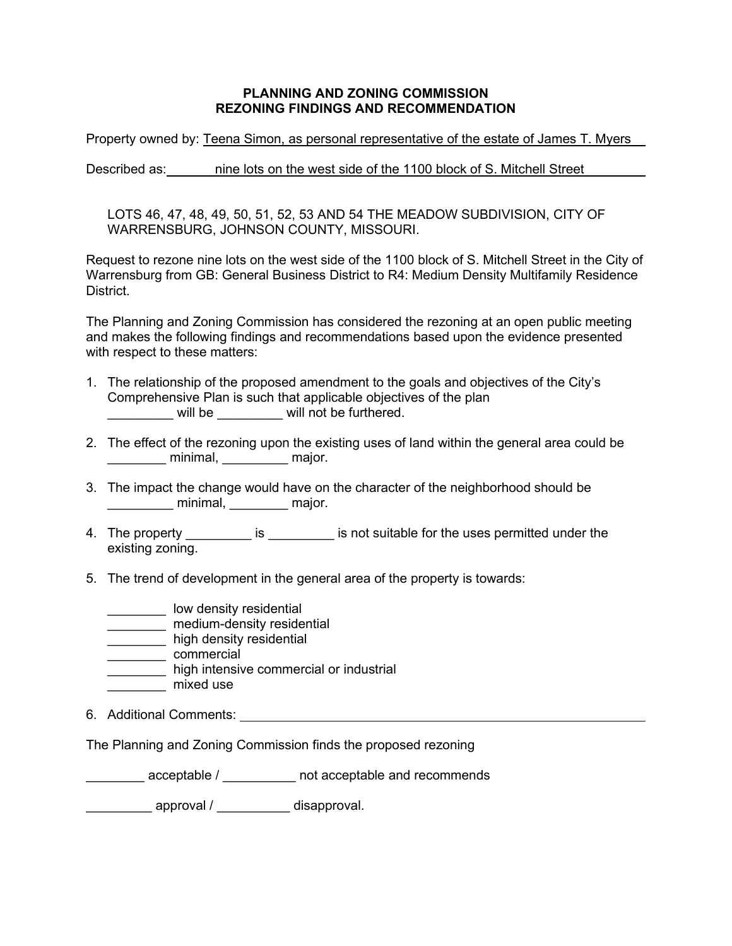## **PLANNING AND ZONING COMMISSION REZONING FINDINGS AND RECOMMENDATION**

Property owned by: Teena Simon, as personal representative of the estate of James T. Myers

Described as: nine lots on the west side of the 1100 block of S. Mitchell Street

LOTS 46, 47, 48, 49, 50, 51, 52, 53 AND 54 THE MEADOW SUBDIVISION, CITY OF WARRENSBURG, JOHNSON COUNTY, MISSOURI.

Request to rezone nine lots on the west side of the 1100 block of S. Mitchell Street in the City of Warrensburg from GB: General Business District to R4: Medium Density Multifamily Residence District.

The Planning and Zoning Commission has considered the rezoning at an open public meeting and makes the following findings and recommendations based upon the evidence presented with respect to these matters:

- 1. The relationship of the proposed amendment to the goals and objectives of the City's Comprehensive Plan is such that applicable objectives of the plan will be  $\qquad \qquad$  will not be furthered.
- 2. The effect of the rezoning upon the existing uses of land within the general area could be minimal, and major.
- 3. The impact the change would have on the character of the neighborhood should be \_\_\_\_\_\_\_\_\_\_\_\_ minimal, \_\_\_\_\_\_\_\_\_ major.
- 4. The property \_\_\_\_\_\_\_\_\_\_ is \_\_\_\_\_\_\_\_\_ is not suitable for the uses permitted under the existing zoning.
- 5. The trend of development in the general area of the property is towards:
	- \_\_\_\_\_\_\_\_ low density residential
	- \_\_\_\_\_\_\_\_\_ medium-density residential
	- **\_\_\_\_\_\_\_\_\_\_\_** high density residential
	- \_\_\_\_\_\_\_\_\_\_ commercial
	- **\_\_\_\_\_\_\_\_\_** high intensive commercial or industrial
	- \_\_\_\_\_\_\_\_ mixed use
- 6. Additional Comments:

The Planning and Zoning Commission finds the proposed rezoning

acceptable / commends and recommends

approval / component disapproval.